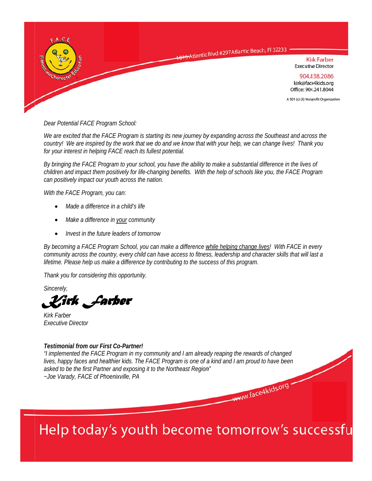

Dear Potential FACE Program School:

We are excited that the FACE Program is starting its new journey by expanding across the Southeast and across the country! We are inspired by the work that we do and we know that with your help, we can change lives! Thank you for your interest in helping FACE reach its fullest potential.

By bringing the FACE Program to your school, you have the ability to make a substantial difference in the lives of children and impact them positively for life-changing benefits. With the help of schools like you, the FACE Program can positively impact our youth across the nation.

With the FACE Program, you can:

- Made a difference in a child's life
- Make a difference in your community
- Invest in the future leaders of tomorrow

By becoming a FACE Program School, you can make a difference while helping change lives! With FACE in every community across the country, every child can have access to fitness, leadership and character skills that will last a lifetime. Please help us make a difference by contributing to the success of this program.

Thank you for considering this opportunity.

Sincerely,

Virk "*F*arber

**Kirk Farber Executive Director** 

#### Testimonial from our First Co-Partner!

"I implemented the FACE Program in my community and I am already reaping the rewards of changed lives, happy faces and healthier kids. The FACE Program is one of a kind and I am proud to have been asked to be the first Partner and exposing it to the Northeast Region" ~Joe Varady, FACE of Phoenixville, PA www.face4kids.org

# Help today's youth become tomorrow's successfu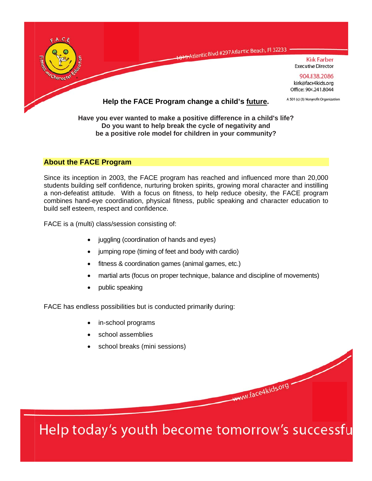

# **About the FACE Program**

Since its inception in 2003, the FACE program has reached and influenced more than 20,000 students building self confidence, nurturing broken spirits, growing moral character and instilling a non-defeatist attitude. With a focus on fitness, to help reduce obesity, the FACE program combines hand-eye coordination, physical fitness, public speaking and character education to build self esteem, respect and confidence.

be a positive role model for children in your community?

FACE is a (multi) class/session consisting of:

- juggling (coordination of hands and eyes)
- jumping rope (timing of feet and body with cardio)
- fitness & coordination games (animal games, etc.)
- martial arts (focus on proper technique, balance and discipline of movements)
- public speaking

FACE has endless possibilities but is conducted primarily during:

- in-school programs
- school assemblies
- school breaks (mini sessions)

Help today's youth become tomorrow's successfu

www.face4kids.org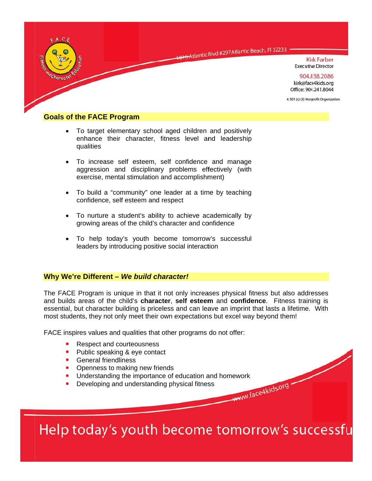

## **Goals of the FACE Program**

- To target elementary school aged children and positively  $\bullet$ enhance their character, fitness level and leadership qualities
- To increase self esteem, self confidence and manage aggression and disciplinary problems effectively (with exercise, mental stimulation and accomplishment)
- To build a "community" one leader at a time by teaching confidence, self esteem and respect
- To nurture a student's ability to achieve academically by growing areas of the child's character and confidence
- To help today's youth become tomorrow's successful leaders by introducing positive social interaction

#### Why We're Different - We build character!

The FACE Program is unique in that it not only increases physical fitness but also addresses and builds areas of the child's character, self esteem and confidence. Fitness training is essential, but character building is priceless and can leave an imprint that lasts a lifetime. With most students, they not only meet their own expectations but excel way beyond them!

FACE inspires values and qualities that other programs do not offer:

- Respect and courteousness
- Public speaking & eye contact
- General friendliness
- Openness to making new friends
- Understanding the importance of education and homework www.face4kids.org
- Developing and understanding physical fitness

Help today's youth become tomorrow's successfu